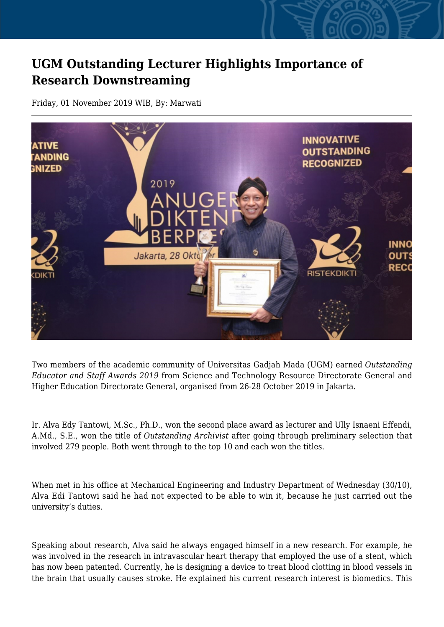## **UGM Outstanding Lecturer Highlights Importance of Research Downstreaming**

Friday, 01 November 2019 WIB, By: Marwati



Two members of the academic community of Universitas Gadjah Mada (UGM) earned *Outstanding Educator and Staff Awards 2019* from Science and Technology Resource Directorate General and Higher Education Directorate General, organised from 26-28 October 2019 in Jakarta.

Ir. Alva Edy Tantowi, M.Sc., Ph.D., won the second place award as lecturer and Ully Isnaeni Effendi, A.Md., S.E., won the title of *Outstanding Archivist* after going through preliminary selection that involved 279 people. Both went through to the top 10 and each won the titles.

When met in his office at Mechanical Engineering and Industry Department of Wednesday (30/10), Alva Edi Tantowi said he had not expected to be able to win it, because he just carried out the university's duties.

Speaking about research, Alva said he always engaged himself in a new research. For example, he was involved in the research in intravascular heart therapy that employed the use of a stent, which has now been patented. Currently, he is designing a device to treat blood clotting in blood vessels in the brain that usually causes stroke. He explained his current research interest is biomedics. This